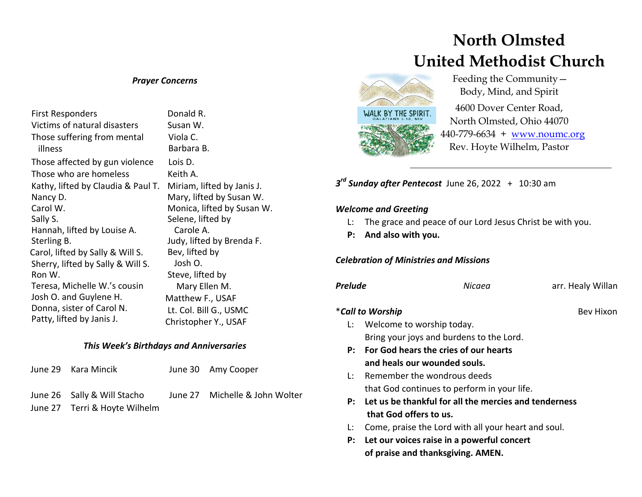#### *Prayer Concerns*

| First Responders                   | Donald R.                  |
|------------------------------------|----------------------------|
| Victims of natural disasters       | Susan W.                   |
| Those suffering from mental        | Viola C.                   |
| illness                            | Barbara B.                 |
| Those affected by gun violence     | Lois D.                    |
| Those who are homeless             | Keith A.                   |
| Kathy, lifted by Claudia & Paul T. | Miriam, lifted by Janis J. |
| Nancy D.                           | Mary, lifted by Susan W.   |
| Carol W.                           | Monica, lifted by Susan W. |
| Sally S.                           | Selene, lifted by          |
| Hannah, lifted by Louise A.        | Carole A.                  |
| Sterling B.                        | Judy, lifted by Brenda F.  |
| Carol, lifted by Sally & Will S.   | Bev, lifted by             |
| Sherry, lifted by Sally & Will S.  | Josh O.                    |
| Ron W.                             | Steve, lifted by           |
| Teresa, Michelle W.'s cousin       | Mary Ellen M.              |
| Josh O. and Guylene H.             | Matthew F., USAF           |
| Donna, sister of Carol N.          | Lt. Col. Bill G., USMC     |
| Patty, lifted by Janis J.          | Christopher Y., USAF       |

#### *This Week's Birthdays and Anniversaries*

| June 29 Kara Mincik                                          | June 30 Amy Cooper             |
|--------------------------------------------------------------|--------------------------------|
| June 26 Sally & Will Stacho<br>June 27 Terri & Hoyte Wilhelm | June 27 Michelle & John Wolter |

# **North Olmsted United Methodist Church**



 Feeding the Community— Body, Mind, and Spirit

4600 Dover Center Road, North Olmsted, Ohio 44070 440-779-6634 + [www.noumc.org](http://www.noumc.org/) Rev. Hoyte Wilhelm, Pastor

*3 rd Sunday after Pentecost* June 26, 2022 + 10:30 am

#### *Welcome and Greeting*

- L: The grace and peace of our Lord Jesus Christ be with you.
- **P: And also with you.**

### *Celebration of Ministries and Missions*

| <b>Prelude</b> | Nicaea                                                | arr. Healy Willan |
|----------------|-------------------------------------------------------|-------------------|
|                | *Call to Worship                                      | <b>Bev Hixon</b>  |
| Ŀ.             | Welcome to worship today.                             |                   |
|                | Bring your joys and burdens to the Lord.              |                   |
| P:             | For God hears the cries of our hearts                 |                   |
|                | and heals our wounded souls.                          |                   |
| l÷.            | Remember the wondrous deeds                           |                   |
|                | that God continues to perform in your life.           |                   |
| P:             | Let us be thankful for all the mercies and tenderness |                   |
|                | that God offers to us.                                |                   |
| Ŀ.             | Come, praise the Lord with all your heart and soul.   |                   |
| P:             | Let our voices raise in a powerful concert            |                   |
|                | of praise and thanksgiving. AMEN.                     |                   |